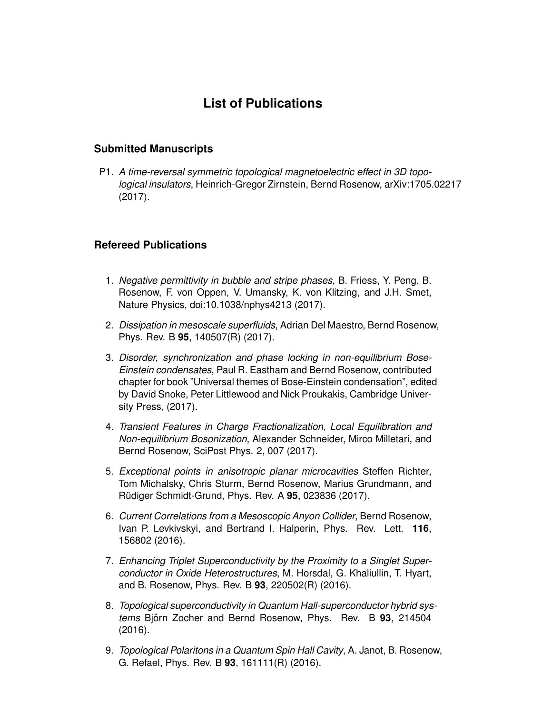## **List of Publications**

## **Submitted Manuscripts**

P1. *A time-reversal symmetric topological magnetoelectric effect in 3D topological insulators*, Heinrich-Gregor Zirnstein, Bernd Rosenow, arXiv:1705.02217 (2017).

## **Refereed Publications**

- 1. *Negative permittivity in bubble and stripe phases*, B. Friess, Y. Peng, B. Rosenow, F. von Oppen, V. Umansky, K. von Klitzing, and J.H. Smet, Nature Physics, doi:10.1038/nphys4213 (2017).
- 2. *Dissipation in mesoscale superfluids*, Adrian Del Maestro, Bernd Rosenow, Phys. Rev. B **95**, 140507(R) (2017).
- 3. *Disorder, synchronization and phase locking in non-equilibrium Bose-Einstein condensates*, Paul R. Eastham and Bernd Rosenow, contributed chapter for book "Universal themes of Bose-Einstein condensation", edited by David Snoke, Peter Littlewood and Nick Proukakis, Cambridge University Press, (2017).
- 4. *Transient Features in Charge Fractionalization, Local Equilibration and Non-equilibrium Bosonization*, Alexander Schneider, Mirco Milletari, and Bernd Rosenow, SciPost Phys. 2, 007 (2017).
- 5. *Exceptional points in anisotropic planar microcavities* Steffen Richter, Tom Michalsky, Chris Sturm, Bernd Rosenow, Marius Grundmann, and Rüdiger Schmidt-Grund, Phys. Rev. A **95**, 023836 (2017).
- 6. *Current Correlations from a Mesoscopic Anyon Collider*, Bernd Rosenow, Ivan P. Levkivskyi, and Bertrand I. Halperin, Phys. Rev. Lett. **116**, 156802 (2016).
- 7. *Enhancing Triplet Superconductivity by the Proximity to a Singlet Superconductor in Oxide Heterostructures*, M. Horsdal, G. Khaliullin, T. Hyart, and B. Rosenow, Phys. Rev. B **93**, 220502(R) (2016).
- 8. *Topological superconductivity in Quantum Hall-superconductor hybrid systems* Björn Zocher and Bernd Rosenow, Phys. Rev. B 93, 214504 (2016).
- 9. *Topological Polaritons in a Quantum Spin Hall Cavity*, A. Janot, B. Rosenow, G. Refael, Phys. Rev. B **93**, 161111(R) (2016).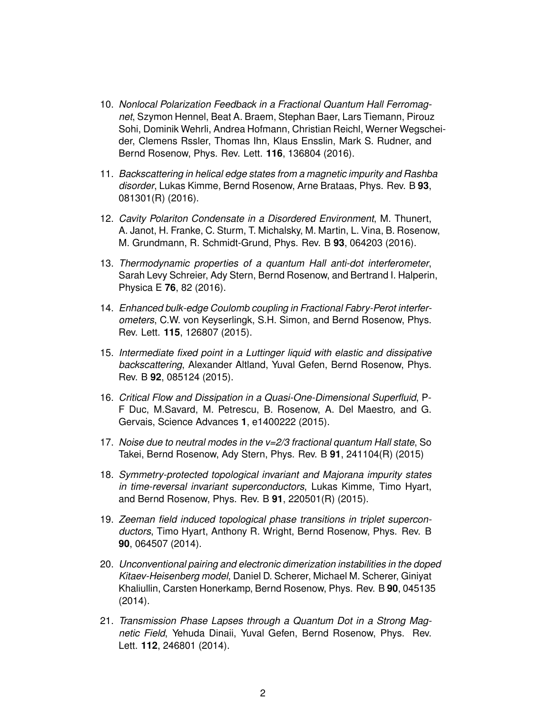- 10. *Nonlocal Polarization Feedback in a Fractional Quantum Hall Ferromagnet*, Szymon Hennel, Beat A. Braem, Stephan Baer, Lars Tiemann, Pirouz Sohi, Dominik Wehrli, Andrea Hofmann, Christian Reichl, Werner Wegscheider, Clemens Rssler, Thomas Ihn, Klaus Ensslin, Mark S. Rudner, and Bernd Rosenow, Phys. Rev. Lett. **116**, 136804 (2016).
- 11. *Backscattering in helical edge states from a magnetic impurity and Rashba disorder*, Lukas Kimme, Bernd Rosenow, Arne Brataas, Phys. Rev. B **93**, 081301(R) (2016).
- 12. *Cavity Polariton Condensate in a Disordered Environment*, M. Thunert, A. Janot, H. Franke, C. Sturm, T. Michalsky, M. Martin, L. Vina, B. Rosenow, M. Grundmann, R. Schmidt-Grund, Phys. Rev. B **93**, 064203 (2016).
- 13. *Thermodynamic properties of a quantum Hall anti-dot interferometer*, Sarah Levy Schreier, Ady Stern, Bernd Rosenow, and Bertrand I. Halperin, Physica E **76**, 82 (2016).
- 14. *Enhanced bulk-edge Coulomb coupling in Fractional Fabry-Perot interferometers*, C.W. von Keyserlingk, S.H. Simon, and Bernd Rosenow, Phys. Rev. Lett. **115**, 126807 (2015).
- 15. *Intermediate fixed point in a Luttinger liquid with elastic and dissipative backscattering*, Alexander Altland, Yuval Gefen, Bernd Rosenow, Phys. Rev. B **92**, 085124 (2015).
- 16. *Critical Flow and Dissipation in a Quasi-One-Dimensional Superfluid*, P-F Duc, M.Savard, M. Petrescu, B. Rosenow, A. Del Maestro, and G. Gervais, Science Advances **1**, e1400222 (2015).
- 17. *Noise due to neutral modes in the v=2/3 fractional quantum Hall state*, So Takei, Bernd Rosenow, Ady Stern, Phys. Rev. B **91**, 241104(R) (2015)
- 18. *Symmetry-protected topological invariant and Majorana impurity states in time-reversal invariant superconductors*, Lukas Kimme, Timo Hyart, and Bernd Rosenow, Phys. Rev. B **91**, 220501(R) (2015).
- 19. *Zeeman field induced topological phase transitions in triplet superconductors*, Timo Hyart, Anthony R. Wright, Bernd Rosenow, Phys. Rev. B **90**, 064507 (2014).
- 20. *Unconventional pairing and electronic dimerization instabilities in the doped Kitaev-Heisenberg model*, Daniel D. Scherer, Michael M. Scherer, Giniyat Khaliullin, Carsten Honerkamp, Bernd Rosenow, Phys. Rev. B **90**, 045135 (2014).
- 21. *Transmission Phase Lapses through a Quantum Dot in a Strong Magnetic Field*, Yehuda Dinaii, Yuval Gefen, Bernd Rosenow, Phys. Rev. Lett. **112**, 246801 (2014).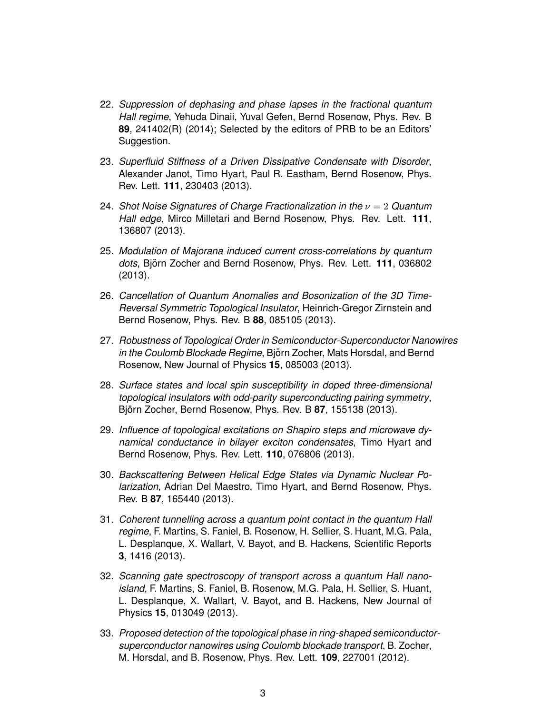- 22. *Suppression of dephasing and phase lapses in the fractional quantum Hall regime*, Yehuda Dinaii, Yuval Gefen, Bernd Rosenow, Phys. Rev. B **89**, 241402(R) (2014); Selected by the editors of PRB to be an Editors' Suggestion.
- 23. *Superfluid Stiffness of a Driven Dissipative Condensate with Disorder*, Alexander Janot, Timo Hyart, Paul R. Eastham, Bernd Rosenow, Phys. Rev. Lett. **111**, 230403 (2013).
- 24. *Shot Noise Signatures of Charge Fractionalization in the* ν = 2 *Quantum Hall edge*, Mirco Milletari and Bernd Rosenow, Phys. Rev. Lett. **111**, 136807 (2013).
- 25. *Modulation of Majorana induced current cross-correlations by quantum* dots, Björn Zocher and Bernd Rosenow, Phys. Rev. Lett. 111, 036802 (2013).
- 26. *Cancellation of Quantum Anomalies and Bosonization of the 3D Time-Reversal Symmetric Topological Insulator*, Heinrich-Gregor Zirnstein and Bernd Rosenow, Phys. Rev. B **88**, 085105 (2013).
- 27. *Robustness of Topological Order in Semiconductor-Superconductor Nanowires in the Coulomb Blockade Regime*, Bjorn Zocher, Mats Horsdal, and Bernd ¨ Rosenow, New Journal of Physics **15**, 085003 (2013).
- 28. *Surface states and local spin susceptibility in doped three-dimensional topological insulators with odd-parity superconducting pairing symmetry*, Björn Zocher, Bernd Rosenow, Phys. Rev. B 87, 155138 (2013).
- 29. *Influence of topological excitations on Shapiro steps and microwave dynamical conductance in bilayer exciton condensates*, Timo Hyart and Bernd Rosenow, Phys. Rev. Lett. **110**, 076806 (2013).
- 30. *Backscattering Between Helical Edge States via Dynamic Nuclear Polarization*, Adrian Del Maestro, Timo Hyart, and Bernd Rosenow, Phys. Rev. B **87**, 165440 (2013).
- 31. *Coherent tunnelling across a quantum point contact in the quantum Hall regime*, F. Martins, S. Faniel, B. Rosenow, H. Sellier, S. Huant, M.G. Pala, L. Desplanque, X. Wallart, V. Bayot, and B. Hackens, Scientific Reports **3**, 1416 (2013).
- 32. *Scanning gate spectroscopy of transport across a quantum Hall nanoisland*, F. Martins, S. Faniel, B. Rosenow, M.G. Pala, H. Sellier, S. Huant, L. Desplanque, X. Wallart, V. Bayot, and B. Hackens, New Journal of Physics **15**, 013049 (2013).
- 33. *Proposed detection of the topological phase in ring-shaped semiconductorsuperconductor nanowires using Coulomb blockade transport*, B. Zocher, M. Horsdal, and B. Rosenow, Phys. Rev. Lett. **109**, 227001 (2012).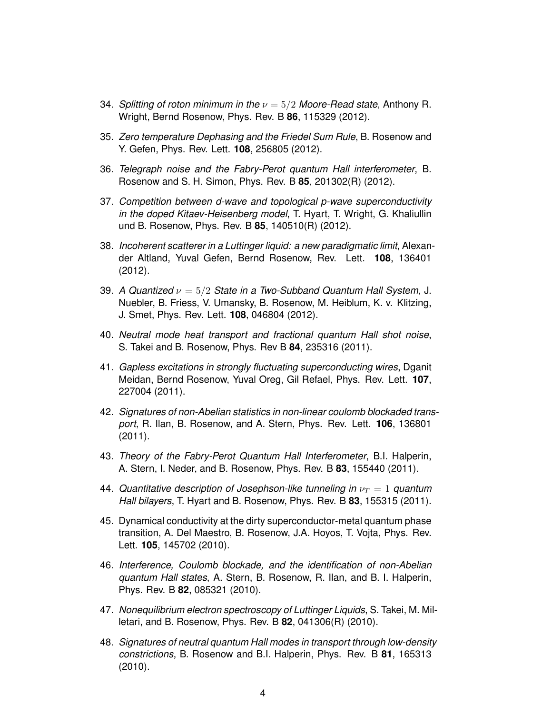- 34. *Splitting of roton minimum in the* ν = 5/2 *Moore-Read state*, Anthony R. Wright, Bernd Rosenow, Phys. Rev. B **86**, 115329 (2012).
- 35. *Zero temperature Dephasing and the Friedel Sum Rule*, B. Rosenow and Y. Gefen, Phys. Rev. Lett. **108**, 256805 (2012).
- 36. *Telegraph noise and the Fabry-Perot quantum Hall interferometer*, B. Rosenow and S. H. Simon, Phys. Rev. B **85**, 201302(R) (2012).
- 37. *Competition between d-wave and topological p-wave superconductivity in the doped Kitaev-Heisenberg model*, T. Hyart, T. Wright, G. Khaliullin und B. Rosenow, Phys. Rev. B **85**, 140510(R) (2012).
- 38. *Incoherent scatterer in a Luttinger liquid: a new paradigmatic limit*, Alexander Altland, Yuval Gefen, Bernd Rosenow, Rev. Lett. **108**, 136401 (2012).
- 39. *A Quantized* ν = 5/2 *State in a Two-Subband Quantum Hall System*, J. Nuebler, B. Friess, V. Umansky, B. Rosenow, M. Heiblum, K. v. Klitzing, J. Smet, Phys. Rev. Lett. **108**, 046804 (2012).
- 40. *Neutral mode heat transport and fractional quantum Hall shot noise*, S. Takei and B. Rosenow, Phys. Rev B **84**, 235316 (2011).
- 41. *Gapless excitations in strongly fluctuating superconducting wires*, Dganit Meidan, Bernd Rosenow, Yuval Oreg, Gil Refael, Phys. Rev. Lett. **107**, 227004 (2011).
- 42. *Signatures of non-Abelian statistics in non-linear coulomb blockaded transport*, R. Ilan, B. Rosenow, and A. Stern, Phys. Rev. Lett. **106**, 136801 (2011).
- 43. *Theory of the Fabry-Perot Quantum Hall Interferometer*, B.I. Halperin, A. Stern, I. Neder, and B. Rosenow, Phys. Rev. B **83**, 155440 (2011).
- 44. *Quantitative description of Josephson-like tunneling in*  $\nu_T = 1$  *quantum Hall bilayers*, T. Hyart and B. Rosenow, Phys. Rev. B **83**, 155315 (2011).
- 45. Dynamical conductivity at the dirty superconductor-metal quantum phase transition, A. Del Maestro, B. Rosenow, J.A. Hoyos, T. Vojta, Phys. Rev. Lett. **105**, 145702 (2010).
- 46. *Interference, Coulomb blockade, and the identification of non-Abelian quantum Hall states*, A. Stern, B. Rosenow, R. Ilan, and B. I. Halperin, Phys. Rev. B **82**, 085321 (2010).
- 47. *Nonequilibrium electron spectroscopy of Luttinger Liquids*, S. Takei, M. Milletari, and B. Rosenow, Phys. Rev. B **82**, 041306(R) (2010).
- 48. *Signatures of neutral quantum Hall modes in transport through low-density constrictions*, B. Rosenow and B.I. Halperin, Phys. Rev. B **81**, 165313 (2010).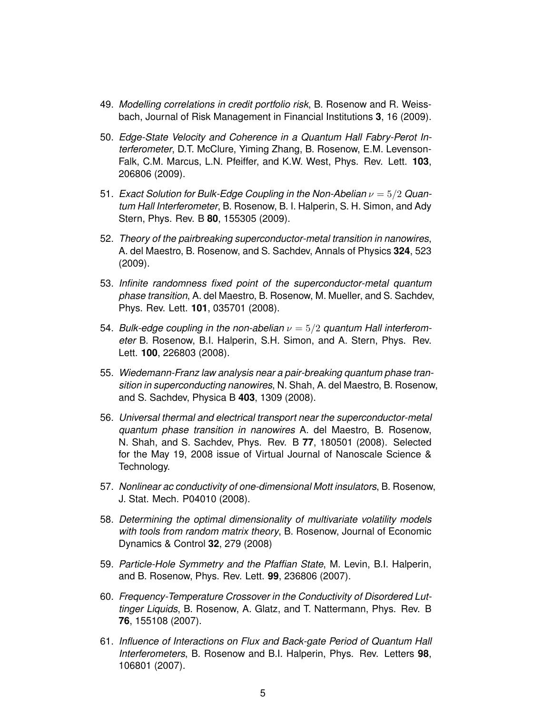- 49. *Modelling correlations in credit portfolio risk*, B. Rosenow and R. Weissbach, Journal of Risk Management in Financial Institutions **3**, 16 (2009).
- 50. *Edge-State Velocity and Coherence in a Quantum Hall Fabry-Perot Interferometer*, D.T. McClure, Yiming Zhang, B. Rosenow, E.M. Levenson-Falk, C.M. Marcus, L.N. Pfeiffer, and K.W. West, Phys. Rev. Lett. **103**, 206806 (2009).
- 51. *Exact Solution for Bulk-Edge Coupling in the Non-Abelian*  $\nu = 5/2$  *Quantum Hall Interferometer*, B. Rosenow, B. I. Halperin, S. H. Simon, and Ady Stern, Phys. Rev. B **80**, 155305 (2009).
- 52. *Theory of the pairbreaking superconductor-metal transition in nanowires*, A. del Maestro, B. Rosenow, and S. Sachdev, Annals of Physics **324**, 523 (2009).
- 53. *Infinite randomness fixed point of the superconductor-metal quantum phase transition*, A. del Maestro, B. Rosenow, M. Mueller, and S. Sachdev, Phys. Rev. Lett. **101**, 035701 (2008).
- 54. *Bulk-edge coupling in the non-abelian*  $\nu = 5/2$  *quantum Hall interferometer* B. Rosenow, B.I. Halperin, S.H. Simon, and A. Stern, Phys. Rev. Lett. **100**, 226803 (2008).
- 55. *Wiedemann-Franz law analysis near a pair-breaking quantum phase transition in superconducting nanowires*, N. Shah, A. del Maestro, B. Rosenow, and S. Sachdev, Physica B **403**, 1309 (2008).
- 56. *Universal thermal and electrical transport near the superconductor-metal quantum phase transition in nanowires* A. del Maestro, B. Rosenow, N. Shah, and S. Sachdev, Phys. Rev. B **77**, 180501 (2008). Selected for the May 19, 2008 issue of Virtual Journal of Nanoscale Science & Technology.
- 57. *Nonlinear ac conductivity of one-dimensional Mott insulators*, B. Rosenow, J. Stat. Mech. P04010 (2008).
- 58. *Determining the optimal dimensionality of multivariate volatility models with tools from random matrix theory*, B. Rosenow, Journal of Economic Dynamics & Control **32**, 279 (2008)
- 59. *Particle-Hole Symmetry and the Pfaffian State*, M. Levin, B.I. Halperin, and B. Rosenow, Phys. Rev. Lett. **99**, 236806 (2007).
- 60. *Frequency-Temperature Crossover in the Conductivity of Disordered Luttinger Liquids*, B. Rosenow, A. Glatz, and T. Nattermann, Phys. Rev. B **76**, 155108 (2007).
- 61. *Influence of Interactions on Flux and Back-gate Period of Quantum Hall Interferometers*, B. Rosenow and B.I. Halperin, Phys. Rev. Letters **98**, 106801 (2007).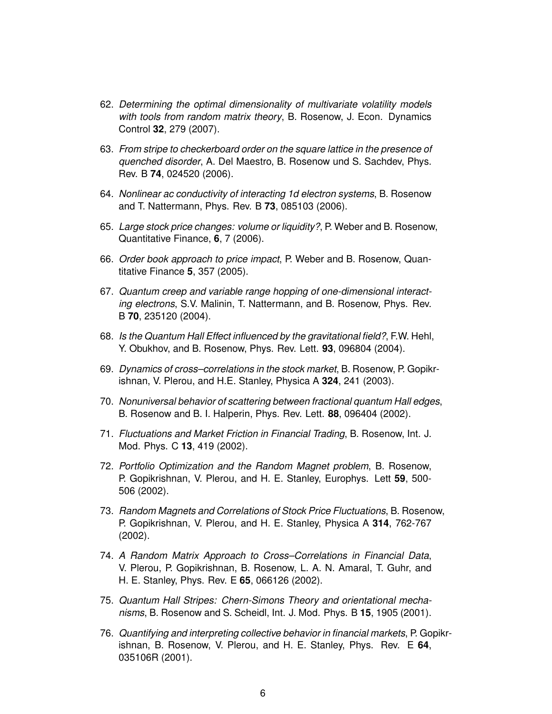- 62. *Determining the optimal dimensionality of multivariate volatility models with tools from random matrix theory*, B. Rosenow, J. Econ. Dynamics Control **32**, 279 (2007).
- 63. *From stripe to checkerboard order on the square lattice in the presence of quenched disorder*, A. Del Maestro, B. Rosenow und S. Sachdev, Phys. Rev. B **74**, 024520 (2006).
- 64. *Nonlinear ac conductivity of interacting 1d electron systems*, B. Rosenow and T. Nattermann, Phys. Rev. B **73**, 085103 (2006).
- 65. *Large stock price changes: volume or liquidity?*, P. Weber and B. Rosenow, Quantitative Finance, **6**, 7 (2006).
- 66. *Order book approach to price impact*, P. Weber and B. Rosenow, Quantitative Finance **5**, 357 (2005).
- 67. *Quantum creep and variable range hopping of one-dimensional interacting electrons*, S.V. Malinin, T. Nattermann, and B. Rosenow, Phys. Rev. B **70**, 235120 (2004).
- 68. *Is the Quantum Hall Effect influenced by the gravitational field?*, F.W. Hehl, Y. Obukhov, and B. Rosenow, Phys. Rev. Lett. **93**, 096804 (2004).
- 69. *Dynamics of cross–correlations in the stock market*, B. Rosenow, P. Gopikrishnan, V. Plerou, and H.E. Stanley, Physica A **324**, 241 (2003).
- 70. *Nonuniversal behavior of scattering between fractional quantum Hall edges*, B. Rosenow and B. I. Halperin, Phys. Rev. Lett. **88**, 096404 (2002).
- 71. *Fluctuations and Market Friction in Financial Trading*, B. Rosenow, Int. J. Mod. Phys. C **13**, 419 (2002).
- 72. *Portfolio Optimization and the Random Magnet problem*, B. Rosenow, P. Gopikrishnan, V. Plerou, and H. E. Stanley, Europhys. Lett **59**, 500- 506 (2002).
- 73. *Random Magnets and Correlations of Stock Price Fluctuations*, B. Rosenow, P. Gopikrishnan, V. Plerou, and H. E. Stanley, Physica A **314**, 762-767 (2002).
- 74. *A Random Matrix Approach to Cross–Correlations in Financial Data*, V. Plerou, P. Gopikrishnan, B. Rosenow, L. A. N. Amaral, T. Guhr, and H. E. Stanley, Phys. Rev. E **65**, 066126 (2002).
- 75. *Quantum Hall Stripes: Chern-Simons Theory and orientational mechanisms*, B. Rosenow and S. Scheidl, Int. J. Mod. Phys. B **15**, 1905 (2001).
- 76. *Quantifying and interpreting collective behavior in financial markets*, P. Gopikrishnan, B. Rosenow, V. Plerou, and H. E. Stanley, Phys. Rev. E **64**, 035106R (2001).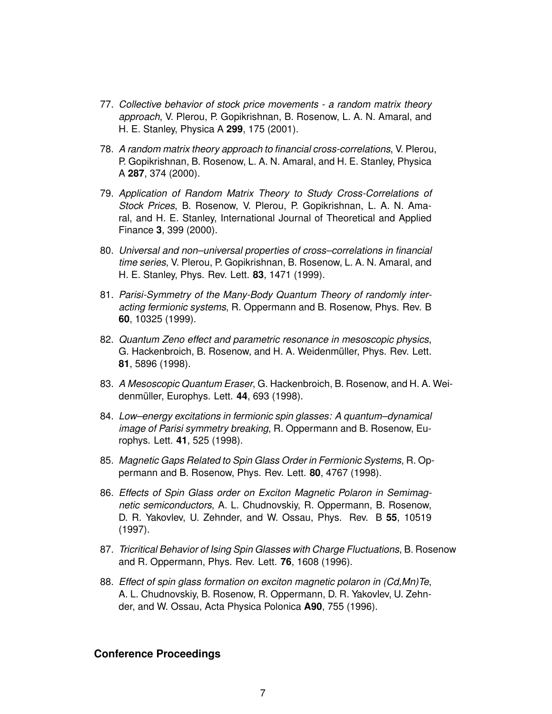- 77. *Collective behavior of stock price movements a random matrix theory approach*, V. Plerou, P. Gopikrishnan, B. Rosenow, L. A. N. Amaral, and H. E. Stanley, Physica A **299**, 175 (2001).
- 78. *A random matrix theory approach to financial cross-correlations*, V. Plerou, P. Gopikrishnan, B. Rosenow, L. A. N. Amaral, and H. E. Stanley, Physica A **287**, 374 (2000).
- 79. *Application of Random Matrix Theory to Study Cross-Correlations of Stock Prices*, B. Rosenow, V. Plerou, P. Gopikrishnan, L. A. N. Amaral, and H. E. Stanley, International Journal of Theoretical and Applied Finance **3**, 399 (2000).
- 80. *Universal and non–universal properties of cross–correlations in financial time series*, V. Plerou, P. Gopikrishnan, B. Rosenow, L. A. N. Amaral, and H. E. Stanley, Phys. Rev. Lett. **83**, 1471 (1999).
- 81. *Parisi-Symmetry of the Many-Body Quantum Theory of randomly interacting fermionic systems*, R. Oppermann and B. Rosenow, Phys. Rev. B **60**, 10325 (1999).
- 82. *Quantum Zeno effect and parametric resonance in mesoscopic physics*, G. Hackenbroich, B. Rosenow, and H. A. Weidenmüller, Phys. Rev. Lett. **81**, 5896 (1998).
- 83. *A Mesoscopic Quantum Eraser*, G. Hackenbroich, B. Rosenow, and H. A. Weidenmüller, Europhys. Lett. **44**, 693 (1998).
- 84. *Low–energy excitations in fermionic spin glasses: A quantum–dynamical image of Parisi symmetry breaking*, R. Oppermann and B. Rosenow, Europhys. Lett. **41**, 525 (1998).
- 85. *Magnetic Gaps Related to Spin Glass Order in Fermionic Systems*, R. Oppermann and B. Rosenow, Phys. Rev. Lett. **80**, 4767 (1998).
- 86. *Effects of Spin Glass order on Exciton Magnetic Polaron in Semimagnetic semiconductors*, A. L. Chudnovskiy, R. Oppermann, B. Rosenow, D. R. Yakovlev, U. Zehnder, and W. Ossau, Phys. Rev. B **55**, 10519 (1997).
- 87. *Tricritical Behavior of Ising Spin Glasses with Charge Fluctuations*, B. Rosenow and R. Oppermann, Phys. Rev. Lett. **76**, 1608 (1996).
- 88. *Effect of spin glass formation on exciton magnetic polaron in (Cd,Mn)Te*, A. L. Chudnovskiy, B. Rosenow, R. Oppermann, D. R. Yakovlev, U. Zehnder, and W. Ossau, Acta Physica Polonica **A90**, 755 (1996).

## **Conference Proceedings**